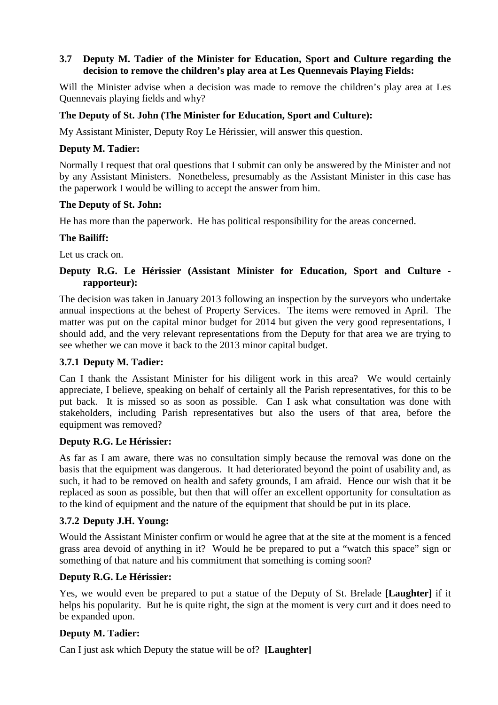## **3.7 Deputy M. Tadier of the Minister for Education, Sport and Culture regarding the decision to remove the children's play area at Les Quennevais Playing Fields:**

Will the Minister advise when a decision was made to remove the children's play area at Les Quennevais playing fields and why?

## **The Deputy of St. John (The Minister for Education, Sport and Culture):**

My Assistant Minister, Deputy Roy Le Hérissier, will answer this question.

#### **Deputy M. Tadier:**

Normally I request that oral questions that I submit can only be answered by the Minister and not by any Assistant Ministers. Nonetheless, presumably as the Assistant Minister in this case has the paperwork I would be willing to accept the answer from him.

#### **The Deputy of St. John:**

He has more than the paperwork. He has political responsibility for the areas concerned.

### **The Bailiff:**

Let us crack on.

## **Deputy R.G. Le Hérissier (Assistant Minister for Education, Sport and Culture rapporteur):**

The decision was taken in January 2013 following an inspection by the surveyors who undertake annual inspections at the behest of Property Services. The items were removed in April. The matter was put on the capital minor budget for 2014 but given the very good representations, I should add, and the very relevant representations from the Deputy for that area we are trying to see whether we can move it back to the 2013 minor capital budget.

#### **3.7.1 Deputy M. Tadier:**

Can I thank the Assistant Minister for his diligent work in this area? We would certainly appreciate, I believe, speaking on behalf of certainly all the Parish representatives, for this to be put back. It is missed so as soon as possible. Can I ask what consultation was done with stakeholders, including Parish representatives but also the users of that area, before the equipment was removed?

#### **Deputy R.G. Le Hérissier:**

As far as I am aware, there was no consultation simply because the removal was done on the basis that the equipment was dangerous. It had deteriorated beyond the point of usability and, as such, it had to be removed on health and safety grounds, I am afraid. Hence our wish that it be replaced as soon as possible, but then that will offer an excellent opportunity for consultation as to the kind of equipment and the nature of the equipment that should be put in its place.

#### **3.7.2 Deputy J.H. Young:**

Would the Assistant Minister confirm or would he agree that at the site at the moment is a fenced grass area devoid of anything in it? Would he be prepared to put a "watch this space" sign or something of that nature and his commitment that something is coming soon?

#### **Deputy R.G. Le Hérissier:**

Yes, we would even be prepared to put a statue of the Deputy of St. Brelade **[Laughter]** if it helps his popularity. But he is quite right, the sign at the moment is very curt and it does need to be expanded upon.

#### **Deputy M. Tadier:**

Can I just ask which Deputy the statue will be of? **[Laughter]**